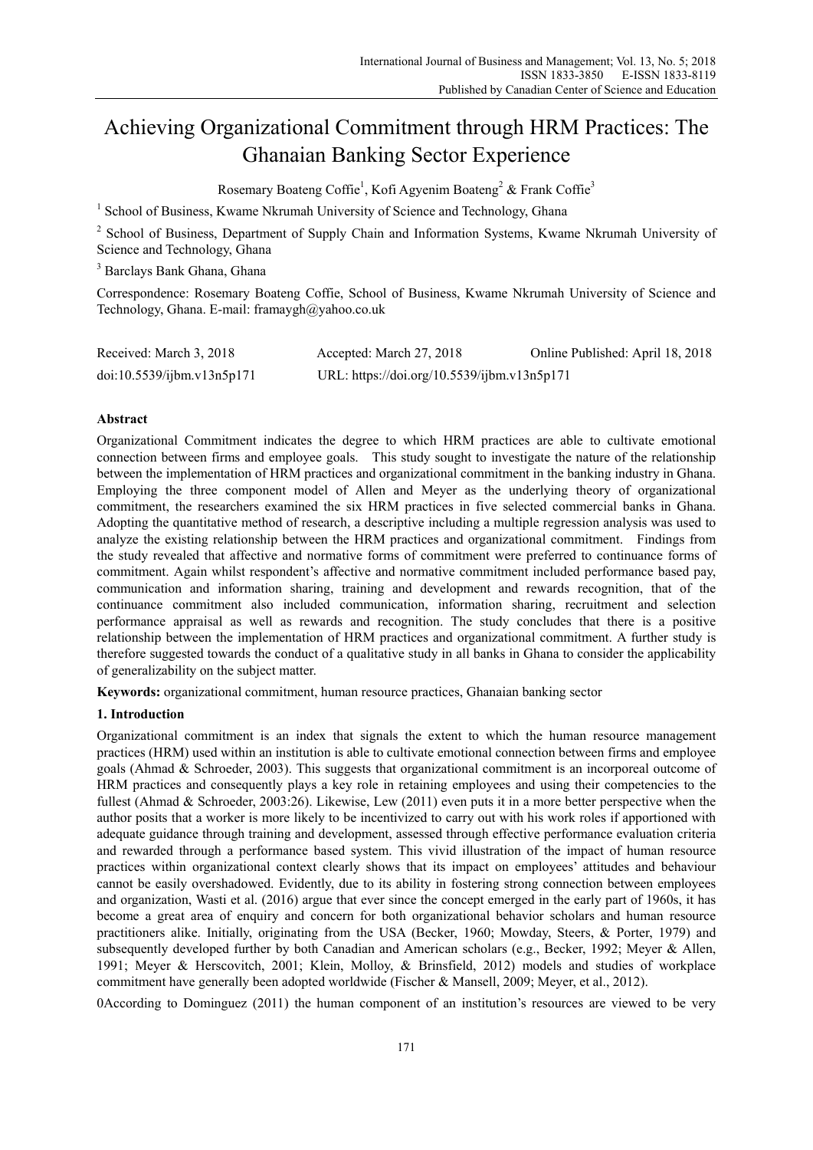# Achieving Organizational Commitment through HRM Practices: The Ghanaian Banking Sector Experience

Rosemary Boateng Coffie<sup>1</sup>, Kofi Agyenim Boateng<sup>2</sup> & Frank Coffie<sup>3</sup>

<sup>1</sup> School of Business, Kwame Nkrumah University of Science and Technology, Ghana

<sup>2</sup> School of Business, Department of Supply Chain and Information Systems, Kwame Nkrumah University of Science and Technology, Ghana

3 Barclays Bank Ghana, Ghana

Correspondence: Rosemary Boateng Coffie, School of Business, Kwame Nkrumah University of Science and Technology, Ghana. E-mail: framaygh@yahoo.co.uk

| Received: March 3, 2018    | Accepted: March 27, 2018                    | Online Published: April 18, 2018 |
|----------------------------|---------------------------------------------|----------------------------------|
| doi:10.5539/ijbm.v13n5p171 | URL: https://doi.org/10.5539/ijbm.v13n5p171 |                                  |

## **Abstract**

Organizational Commitment indicates the degree to which HRM practices are able to cultivate emotional connection between firms and employee goals. This study sought to investigate the nature of the relationship between the implementation of HRM practices and organizational commitment in the banking industry in Ghana. Employing the three component model of Allen and Meyer as the underlying theory of organizational commitment, the researchers examined the six HRM practices in five selected commercial banks in Ghana. Adopting the quantitative method of research, a descriptive including a multiple regression analysis was used to analyze the existing relationship between the HRM practices and organizational commitment. Findings from the study revealed that affective and normative forms of commitment were preferred to continuance forms of commitment. Again whilst respondent's affective and normative commitment included performance based pay, communication and information sharing, training and development and rewards recognition, that of the continuance commitment also included communication, information sharing, recruitment and selection performance appraisal as well as rewards and recognition. The study concludes that there is a positive relationship between the implementation of HRM practices and organizational commitment. A further study is therefore suggested towards the conduct of a qualitative study in all banks in Ghana to consider the applicability of generalizability on the subject matter.

**Keywords:** organizational commitment, human resource practices, Ghanaian banking sector

# **1. Introduction**

Organizational commitment is an index that signals the extent to which the human resource management practices (HRM) used within an institution is able to cultivate emotional connection between firms and employee goals (Ahmad & Schroeder, 2003). This suggests that organizational commitment is an incorporeal outcome of HRM practices and consequently plays a key role in retaining employees and using their competencies to the fullest (Ahmad & Schroeder, 2003:26). Likewise, Lew (2011) even puts it in a more better perspective when the author posits that a worker is more likely to be incentivized to carry out with his work roles if apportioned with adequate guidance through training and development, assessed through effective performance evaluation criteria and rewarded through a performance based system. This vivid illustration of the impact of human resource practices within organizational context clearly shows that its impact on employees' attitudes and behaviour cannot be easily overshadowed. Evidently, due to its ability in fostering strong connection between employees and organization, Wasti et al. (2016) argue that ever since the concept emerged in the early part of 1960s, it has become a great area of enquiry and concern for both organizational behavior scholars and human resource practitioners alike. Initially, originating from the USA (Becker, 1960; Mowday, Steers, & Porter, 1979) and subsequently developed further by both Canadian and American scholars (e.g., Becker, 1992; Meyer & Allen, 1991; Meyer & Herscovitch, 2001; Klein, Molloy, & Brinsfield, 2012) models and studies of workplace commitment have generally been adopted worldwide (Fischer & Mansell, 2009; Meyer, et al., 2012).

0According to Dominguez (2011) the human component of an institution's resources are viewed to be very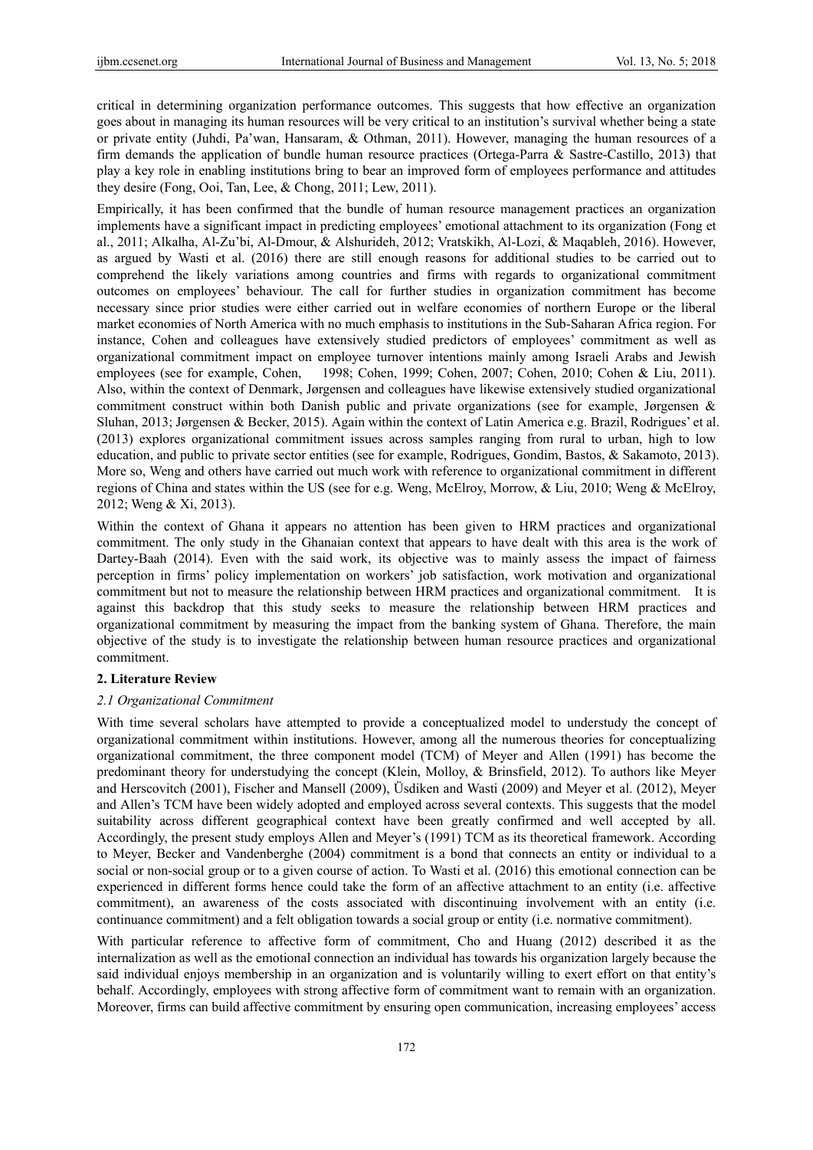critical in determining organization performance outcomes. This suggests that how effective an organization goes about in managing its human resources will be very critical to an institution's survival whether being a state or private entity (Juhdi, Pa'wan, Hansaram, & Othman, 2011). However, managing the human resources of a firm demands the application of bundle human resource practices (Ortega-Parra & Sastre-Castillo, 2013) that play a key role in enabling institutions bring to bear an improved form of employees performance and attitudes they desire (Fong, Ooi, Tan, Lee, & Chong, 2011; Lew, 2011).

Empirically, it has been confirmed that the bundle of human resource management practices an organization implements have a significant impact in predicting employees' emotional attachment to its organization (Fong et al., 2011; Alkalha, Al-Zu'bi, Al-Dmour, & Alshurideh, 2012; Vratskikh, Al-Lozi, & Maqableh, 2016). However, as argued by Wasti et al. (2016) there are still enough reasons for additional studies to be carried out to comprehend the likely variations among countries and firms with regards to organizational commitment outcomes on employees' behaviour. The call for further studies in organization commitment has become necessary since prior studies were either carried out in welfare economies of northern Europe or the liberal market economies of North America with no much emphasis to institutions in the Sub-Saharan Africa region. For instance, Cohen and colleagues have extensively studied predictors of employees' commitment as well as organizational commitment impact on employee turnover intentions mainly among Israeli Arabs and Jewish employees (see for example, Cohen, 1998; Cohen, 1999; Cohen, 2007; Cohen, 2010; Cohen & Liu, 2011). Also, within the context of Denmark, Jørgensen and colleagues have likewise extensively studied organizational commitment construct within both Danish public and private organizations (see for example, Jørgensen & Sluhan, 2013; Jørgensen & Becker, 2015). Again within the context of Latin America e.g. Brazil, Rodrigues' et al. (2013) explores organizational commitment issues across samples ranging from rural to urban, high to low education, and public to private sector entities (see for example, Rodrigues, Gondim, Bastos, & Sakamoto, 2013). More so, Weng and others have carried out much work with reference to organizational commitment in different regions of China and states within the US (see for e.g. Weng, McElroy, Morrow, & Liu, 2010; Weng & McElroy, 2012; Weng & Xi, 2013).

Within the context of Ghana it appears no attention has been given to HRM practices and organizational commitment. The only study in the Ghanaian context that appears to have dealt with this area is the work of Dartey-Baah (2014). Even with the said work, its objective was to mainly assess the impact of fairness perception in firms' policy implementation on workers' job satisfaction, work motivation and organizational commitment but not to measure the relationship between HRM practices and organizational commitment. It is against this backdrop that this study seeks to measure the relationship between HRM practices and organizational commitment by measuring the impact from the banking system of Ghana. Therefore, the main objective of the study is to investigate the relationship between human resource practices and organizational commitment.

# **2. Literature Review**

#### *2.1 Organizational Commitment*

With time several scholars have attempted to provide a conceptualized model to understudy the concept of organizational commitment within institutions. However, among all the numerous theories for conceptualizing organizational commitment, the three component model (TCM) of Meyer and Allen (1991) has become the predominant theory for understudying the concept (Klein, Molloy, & Brinsfield, 2012). To authors like Meyer and Herscovitch (2001), Fischer and Mansell (2009), Üsdiken and Wasti (2009) and Meyer et al. (2012), Meyer and Allen's TCM have been widely adopted and employed across several contexts. This suggests that the model suitability across different geographical context have been greatly confirmed and well accepted by all. Accordingly, the present study employs Allen and Meyer's (1991) TCM as its theoretical framework. According to Meyer, Becker and Vandenberghe (2004) commitment is a bond that connects an entity or individual to a social or non-social group or to a given course of action. To Wasti et al. (2016) this emotional connection can be experienced in different forms hence could take the form of an affective attachment to an entity (i.e. affective commitment), an awareness of the costs associated with discontinuing involvement with an entity (i.e. continuance commitment) and a felt obligation towards a social group or entity (i.e. normative commitment).

With particular reference to affective form of commitment, Cho and Huang (2012) described it as the internalization as well as the emotional connection an individual has towards his organization largely because the said individual enjoys membership in an organization and is voluntarily willing to exert effort on that entity's behalf. Accordingly, employees with strong affective form of commitment want to remain with an organization. Moreover, firms can build affective commitment by ensuring open communication, increasing employees' access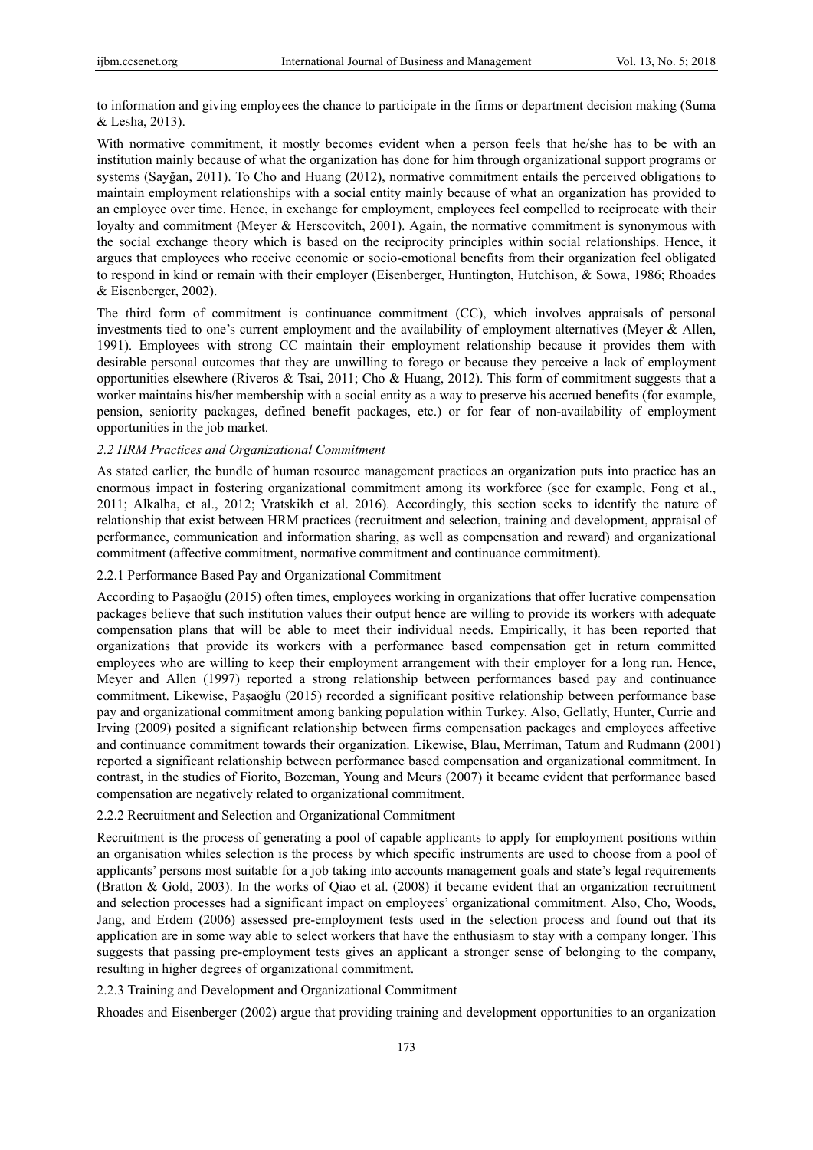to information and giving employees the chance to participate in the firms or department decision making (Suma & Lesha, 2013).

With normative commitment, it mostly becomes evident when a person feels that he/she has to be with an institution mainly because of what the organization has done for him through organizational support programs or systems (Sayğan, 2011). To Cho and Huang (2012), normative commitment entails the perceived obligations to maintain employment relationships with a social entity mainly because of what an organization has provided to an employee over time. Hence, in exchange for employment, employees feel compelled to reciprocate with their loyalty and commitment (Meyer & Herscovitch, 2001). Again, the normative commitment is synonymous with the social exchange theory which is based on the reciprocity principles within social relationships. Hence, it argues that employees who receive economic or socio-emotional benefits from their organization feel obligated to respond in kind or remain with their employer (Eisenberger, Huntington, Hutchison, & Sowa, 1986; Rhoades & Eisenberger, 2002).

The third form of commitment is continuance commitment (CC), which involves appraisals of personal investments tied to one's current employment and the availability of employment alternatives (Meyer & Allen, 1991). Employees with strong CC maintain their employment relationship because it provides them with desirable personal outcomes that they are unwilling to forego or because they perceive a lack of employment opportunities elsewhere (Riveros & Tsai, 2011; Cho & Huang, 2012). This form of commitment suggests that a worker maintains his/her membership with a social entity as a way to preserve his accrued benefits (for example, pension, seniority packages, defined benefit packages, etc.) or for fear of non-availability of employment opportunities in the job market.

## *2.2 HRM Practices and Organizational Commitment*

As stated earlier, the bundle of human resource management practices an organization puts into practice has an enormous impact in fostering organizational commitment among its workforce (see for example, Fong et al., 2011; Alkalha, et al., 2012; Vratskikh et al. 2016). Accordingly, this section seeks to identify the nature of relationship that exist between HRM practices (recruitment and selection, training and development, appraisal of performance, communication and information sharing, as well as compensation and reward) and organizational commitment (affective commitment, normative commitment and continuance commitment).

# 2.2.1 Performance Based Pay and Organizational Commitment

According to Paşaoğlu (2015) often times, employees working in organizations that offer lucrative compensation packages believe that such institution values their output hence are willing to provide its workers with adequate compensation plans that will be able to meet their individual needs. Empirically, it has been reported that organizations that provide its workers with a performance based compensation get in return committed employees who are willing to keep their employment arrangement with their employer for a long run. Hence, Meyer and Allen (1997) reported a strong relationship between performances based pay and continuance commitment. Likewise, Paşaoğlu (2015) recorded a significant positive relationship between performance base pay and organizational commitment among banking population within Turkey. Also, Gellatly, Hunter, Currie and Irving (2009) posited a significant relationship between firms compensation packages and employees affective and continuance commitment towards their organization. Likewise, Blau, Merriman, Tatum and Rudmann (2001) reported a significant relationship between performance based compensation and organizational commitment. In contrast, in the studies of Fiorito, Bozeman, Young and Meurs (2007) it became evident that performance based compensation are negatively related to organizational commitment.

## 2.2.2 Recruitment and Selection and Organizational Commitment

Recruitment is the process of generating a pool of capable applicants to apply for employment positions within an organisation whiles selection is the process by which specific instruments are used to choose from a pool of applicants' persons most suitable for a job taking into accounts management goals and state's legal requirements (Bratton & Gold, 2003). In the works of Qiao et al. (2008) it became evident that an organization recruitment and selection processes had a significant impact on employees' organizational commitment. Also, Cho, Woods, Jang, and Erdem (2006) assessed pre-employment tests used in the selection process and found out that its application are in some way able to select workers that have the enthusiasm to stay with a company longer. This suggests that passing pre-employment tests gives an applicant a stronger sense of belonging to the company, resulting in higher degrees of organizational commitment.

## 2.2.3 Training and Development and Organizational Commitment

Rhoades and Eisenberger (2002) argue that providing training and development opportunities to an organization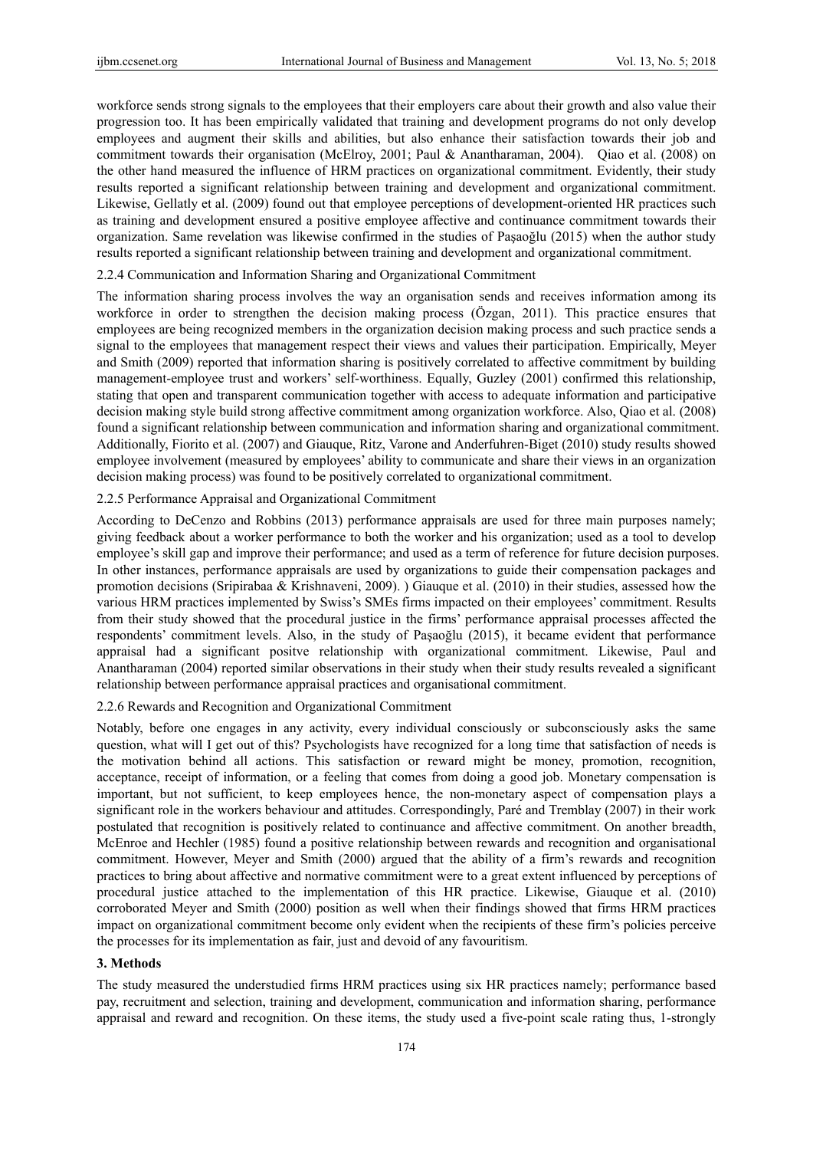workforce sends strong signals to the employees that their employers care about their growth and also value their progression too. It has been empirically validated that training and development programs do not only develop employees and augment their skills and abilities, but also enhance their satisfaction towards their job and commitment towards their organisation (McElroy, 2001; Paul & Anantharaman, 2004). Qiao et al. (2008) on the other hand measured the influence of HRM practices on organizational commitment. Evidently, their study results reported a significant relationship between training and development and organizational commitment. Likewise, Gellatly et al. (2009) found out that employee perceptions of development-oriented HR practices such as training and development ensured a positive employee affective and continuance commitment towards their organization. Same revelation was likewise confirmed in the studies of Paşaoğlu (2015) when the author study results reported a significant relationship between training and development and organizational commitment.

#### 2.2.4 Communication and Information Sharing and Organizational Commitment

The information sharing process involves the way an organisation sends and receives information among its workforce in order to strengthen the decision making process (Özgan, 2011). This practice ensures that employees are being recognized members in the organization decision making process and such practice sends a signal to the employees that management respect their views and values their participation. Empirically, Meyer and Smith (2009) reported that information sharing is positively correlated to affective commitment by building management-employee trust and workers' self-worthiness. Equally, Guzley (2001) confirmed this relationship, stating that open and transparent communication together with access to adequate information and participative decision making style build strong affective commitment among organization workforce. Also, Qiao et al. (2008) found a significant relationship between communication and information sharing and organizational commitment. Additionally, Fiorito et al. (2007) and Giauque, Ritz, Varone and Anderfuhren-Biget (2010) study results showed employee involvement (measured by employees' ability to communicate and share their views in an organization decision making process) was found to be positively correlated to organizational commitment.

## 2.2.5 Performance Appraisal and Organizational Commitment

According to DeCenzo and Robbins (2013) performance appraisals are used for three main purposes namely; giving feedback about a worker performance to both the worker and his organization; used as a tool to develop employee's skill gap and improve their performance; and used as a term of reference for future decision purposes. In other instances, performance appraisals are used by organizations to guide their compensation packages and promotion decisions (Sripirabaa & Krishnaveni, 2009). ) Giauque et al. (2010) in their studies, assessed how the various HRM practices implemented by Swiss's SMEs firms impacted on their employees' commitment. Results from their study showed that the procedural justice in the firms' performance appraisal processes affected the respondents' commitment levels. Also, in the study of Paşaoğlu (2015), it became evident that performance appraisal had a significant positve relationship with organizational commitment. Likewise, Paul and Anantharaman (2004) reported similar observations in their study when their study results revealed a significant relationship between performance appraisal practices and organisational commitment.

## 2.2.6 Rewards and Recognition and Organizational Commitment

Notably, before one engages in any activity, every individual consciously or subconsciously asks the same question, what will I get out of this? Psychologists have recognized for a long time that satisfaction of needs is the motivation behind all actions. This satisfaction or reward might be money, promotion, recognition, acceptance, receipt of information, or a feeling that comes from doing a good job. Monetary compensation is important, but not sufficient, to keep employees hence, the non-monetary aspect of compensation plays a significant role in the workers behaviour and attitudes. Correspondingly, Paré and Tremblay (2007) in their work postulated that recognition is positively related to continuance and affective commitment. On another breadth, McEnroe and Hechler (1985) found a positive relationship between rewards and recognition and organisational commitment. However, Meyer and Smith (2000) argued that the ability of a firm's rewards and recognition practices to bring about affective and normative commitment were to a great extent influenced by perceptions of procedural justice attached to the implementation of this HR practice. Likewise, Giauque et al. (2010) corroborated Meyer and Smith (2000) position as well when their findings showed that firms HRM practices impact on organizational commitment become only evident when the recipients of these firm's policies perceive the processes for its implementation as fair, just and devoid of any favouritism.

## **3. Methods**

The study measured the understudied firms HRM practices using six HR practices namely; performance based pay, recruitment and selection, training and development, communication and information sharing, performance appraisal and reward and recognition. On these items, the study used a five-point scale rating thus, 1-strongly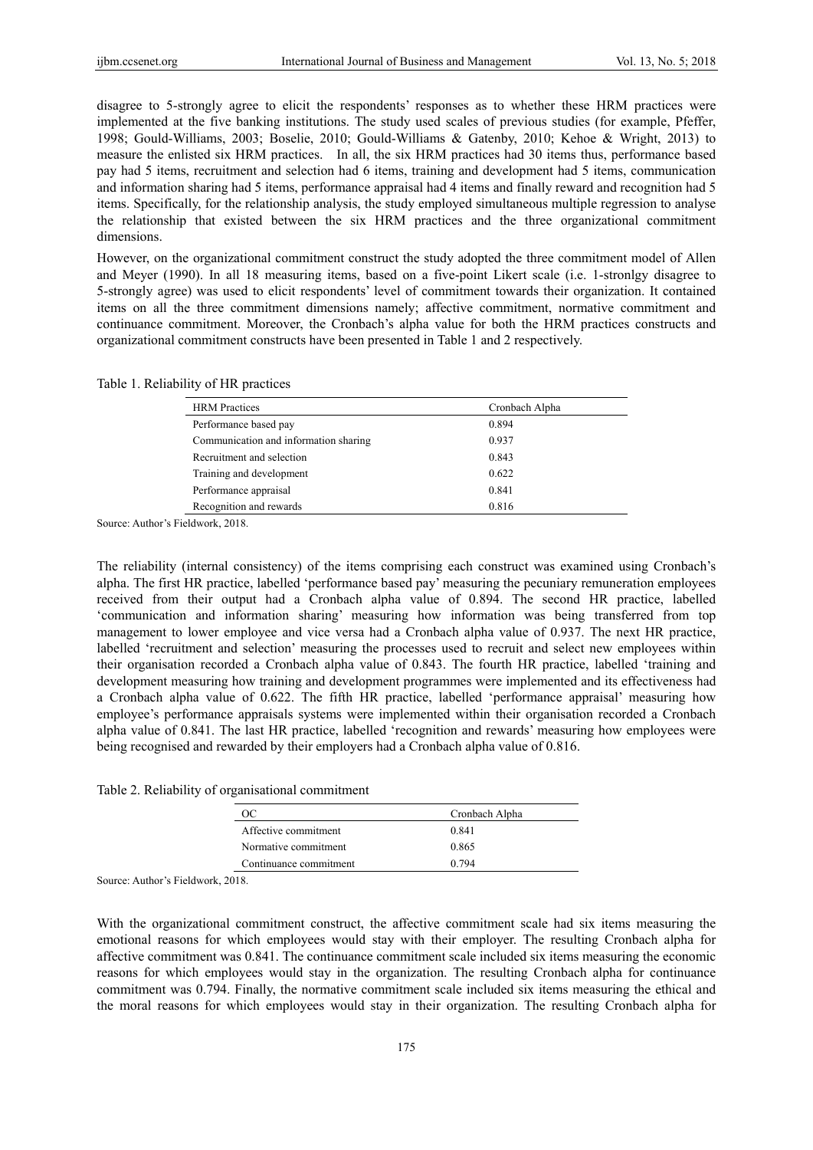disagree to 5-strongly agree to elicit the respondents' responses as to whether these HRM practices were implemented at the five banking institutions. The study used scales of previous studies (for example, Pfeffer, 1998; Gould-Williams, 2003; Boselie, 2010; Gould-Williams & Gatenby, 2010; Kehoe & Wright, 2013) to measure the enlisted six HRM practices. In all, the six HRM practices had 30 items thus, performance based pay had 5 items, recruitment and selection had 6 items, training and development had 5 items, communication and information sharing had 5 items, performance appraisal had 4 items and finally reward and recognition had 5 items. Specifically, for the relationship analysis, the study employed simultaneous multiple regression to analyse the relationship that existed between the six HRM practices and the three organizational commitment dimensions.

However, on the organizational commitment construct the study adopted the three commitment model of Allen and Meyer (1990). In all 18 measuring items, based on a five-point Likert scale (i.e. 1-stronlgy disagree to 5-strongly agree) was used to elicit respondents' level of commitment towards their organization. It contained items on all the three commitment dimensions namely; affective commitment, normative commitment and continuance commitment. Moreover, the Cronbach's alpha value for both the HRM practices constructs and organizational commitment constructs have been presented in Table 1 and 2 respectively.

#### Table 1. Reliability of HR practices

| <b>HRM</b> Practices                  | Cronbach Alpha |
|---------------------------------------|----------------|
| Performance based pay                 | 0.894          |
| Communication and information sharing | 0.937          |
| Recruitment and selection             | 0.843          |
| Training and development              | 0.622          |
| Performance appraisal                 | 0.841          |
| Recognition and rewards               | 0.816          |

Source: Author's Fieldwork, 2018.

The reliability (internal consistency) of the items comprising each construct was examined using Cronbach's alpha. The first HR practice, labelled 'performance based pay' measuring the pecuniary remuneration employees received from their output had a Cronbach alpha value of 0.894. The second HR practice, labelled 'communication and information sharing' measuring how information was being transferred from top management to lower employee and vice versa had a Cronbach alpha value of 0.937. The next HR practice, labelled 'recruitment and selection' measuring the processes used to recruit and select new employees within their organisation recorded a Cronbach alpha value of 0.843. The fourth HR practice, labelled 'training and development measuring how training and development programmes were implemented and its effectiveness had a Cronbach alpha value of 0.622. The fifth HR practice, labelled 'performance appraisal' measuring how employee's performance appraisals systems were implemented within their organisation recorded a Cronbach alpha value of 0.841. The last HR practice, labelled 'recognition and rewards' measuring how employees were being recognised and rewarded by their employers had a Cronbach alpha value of 0.816.

Table 2. Reliability of organisational commitment

| Cronbach Alpha |  |
|----------------|--|
| 0.841          |  |
| 0.865          |  |
| 0.794          |  |
|                |  |

Source: Author's Fieldwork, 2018.

With the organizational commitment construct, the affective commitment scale had six items measuring the emotional reasons for which employees would stay with their employer. The resulting Cronbach alpha for affective commitment was 0.841. The continuance commitment scale included six items measuring the economic reasons for which employees would stay in the organization. The resulting Cronbach alpha for continuance commitment was 0.794. Finally, the normative commitment scale included six items measuring the ethical and the moral reasons for which employees would stay in their organization. The resulting Cronbach alpha for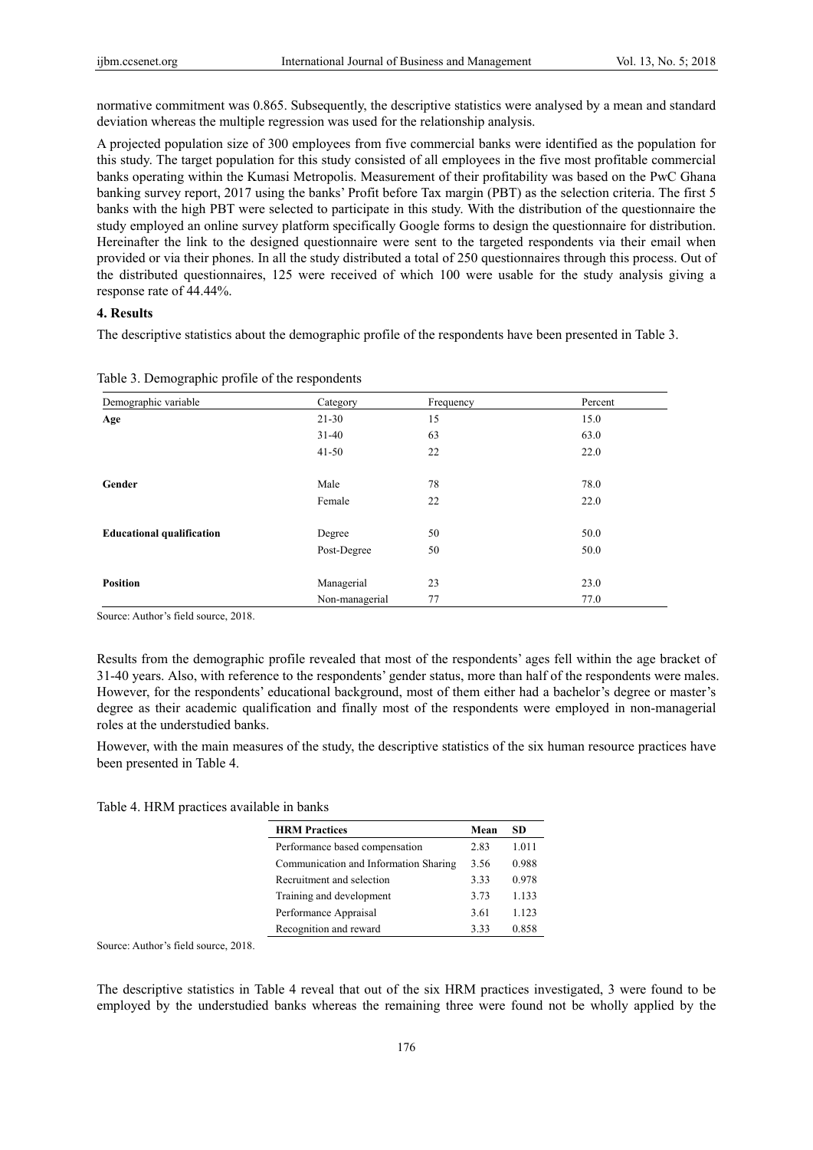normative commitment was 0.865. Subsequently, the descriptive statistics were analysed by a mean and standard deviation whereas the multiple regression was used for the relationship analysis.

A projected population size of 300 employees from five commercial banks were identified as the population for this study. The target population for this study consisted of all employees in the five most profitable commercial banks operating within the Kumasi Metropolis. Measurement of their profitability was based on the PwC Ghana banking survey report, 2017 using the banks' Profit before Tax margin (PBT) as the selection criteria. The first 5 banks with the high PBT were selected to participate in this study. With the distribution of the questionnaire the study employed an online survey platform specifically Google forms to design the questionnaire for distribution. Hereinafter the link to the designed questionnaire were sent to the targeted respondents via their email when provided or via their phones. In all the study distributed a total of 250 questionnaires through this process. Out of the distributed questionnaires, 125 were received of which 100 were usable for the study analysis giving a response rate of 44.44%.

## **4. Results**

The descriptive statistics about the demographic profile of the respondents have been presented in Table 3.

| Demographic variable             | Category       | Frequency | Percent |
|----------------------------------|----------------|-----------|---------|
| Age                              | $21 - 30$      | 15        | 15.0    |
|                                  | $31-40$        | 63        | 63.0    |
|                                  | $41 - 50$      | 22        | 22.0    |
|                                  |                |           |         |
| Gender                           | Male           | 78        | 78.0    |
|                                  | Female         | 22        | 22.0    |
| <b>Educational qualification</b> | Degree         | 50        | 50.0    |
|                                  | Post-Degree    | 50        | 50.0    |
|                                  |                |           |         |
| <b>Position</b>                  | Managerial     | 23        | 23.0    |
|                                  | Non-managerial | 77        | 77.0    |

Table 3. Demographic profile of the respondents

Source: Author's field source, 2018.

Results from the demographic profile revealed that most of the respondents' ages fell within the age bracket of 31-40 years. Also, with reference to the respondents' gender status, more than half of the respondents were males. However, for the respondents' educational background, most of them either had a bachelor's degree or master's degree as their academic qualification and finally most of the respondents were employed in non-managerial roles at the understudied banks.

However, with the main measures of the study, the descriptive statistics of the six human resource practices have been presented in Table 4.

Table 4. HRM practices available in banks

| <b>HRM Practices</b>                  | Mean | SD    |
|---------------------------------------|------|-------|
| Performance based compensation        | 2.83 | 1.011 |
| Communication and Information Sharing | 3.56 | 0.988 |
| Recruitment and selection             | 3.33 | 0.978 |
| Training and development              | 3.73 | 1.133 |
| Performance Appraisal                 | 3.61 | 1.123 |
| Recognition and reward                | 3.33 | 0.858 |

Source: Author's field source, 2018.

The descriptive statistics in Table 4 reveal that out of the six HRM practices investigated, 3 were found to be employed by the understudied banks whereas the remaining three were found not be wholly applied by the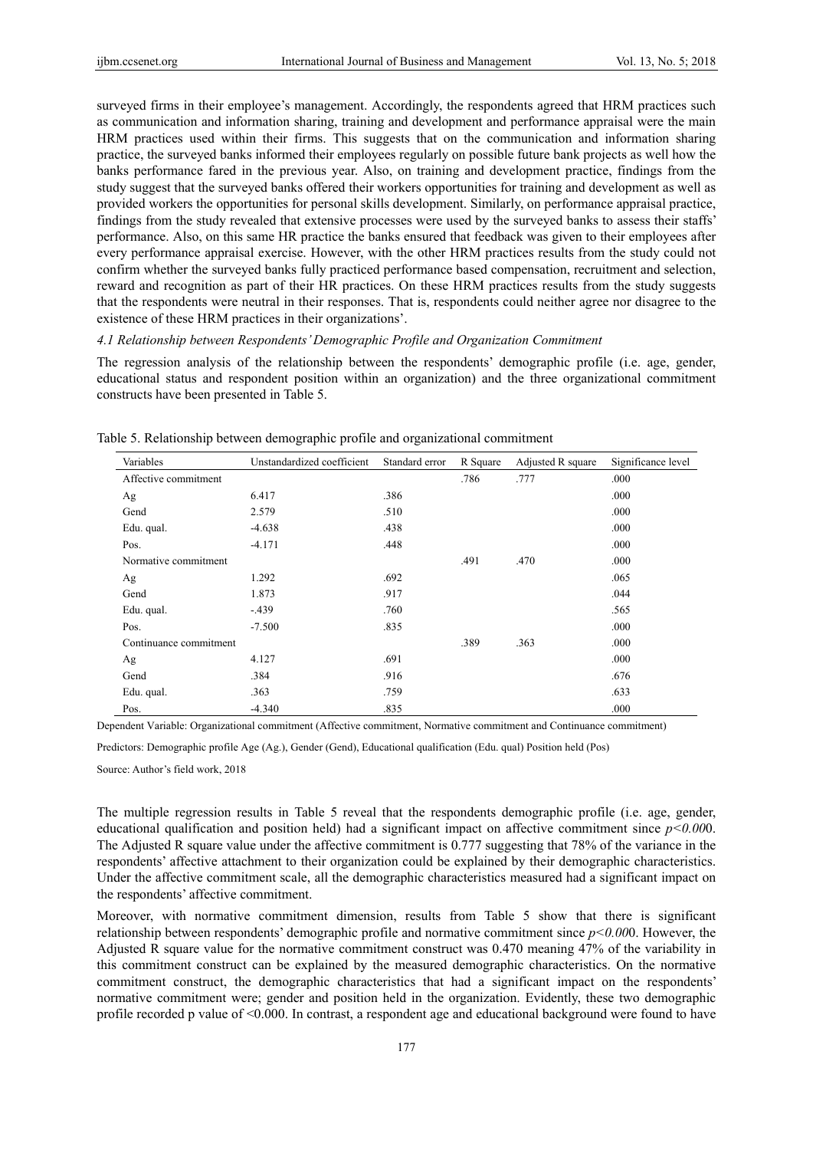surveyed firms in their employee's management. Accordingly, the respondents agreed that HRM practices such as communication and information sharing, training and development and performance appraisal were the main HRM practices used within their firms. This suggests that on the communication and information sharing practice, the surveyed banks informed their employees regularly on possible future bank projects as well how the banks performance fared in the previous year. Also, on training and development practice, findings from the study suggest that the surveyed banks offered their workers opportunities for training and development as well as provided workers the opportunities for personal skills development. Similarly, on performance appraisal practice, findings from the study revealed that extensive processes were used by the surveyed banks to assess their staffs' performance. Also, on this same HR practice the banks ensured that feedback was given to their employees after every performance appraisal exercise. However, with the other HRM practices results from the study could not confirm whether the surveyed banks fully practiced performance based compensation, recruitment and selection, reward and recognition as part of their HR practices. On these HRM practices results from the study suggests that the respondents were neutral in their responses. That is, respondents could neither agree nor disagree to the existence of these HRM practices in their organizations'.

#### *4.1 Relationship between Respondents' Demographic Profile and Organization Commitment*

The regression analysis of the relationship between the respondents' demographic profile (i.e. age, gender, educational status and respondent position within an organization) and the three organizational commitment constructs have been presented in Table 5.

| л.                     |                            | ֊              |          |                   |                    |
|------------------------|----------------------------|----------------|----------|-------------------|--------------------|
| Variables              | Unstandardized coefficient | Standard error | R Square | Adjusted R square | Significance level |
| Affective commitment   |                            |                | .786     | .777              | .000               |
| Ag                     | 6.417                      | .386           |          |                   | .000               |
| Gend                   | 2.579                      | .510           |          |                   | .000               |
| Edu. qual.             | $-4.638$                   | .438           |          |                   | .000               |
| Pos.                   | $-4.171$                   | .448           |          |                   | .000               |
| Normative commitment   |                            |                | .491     | .470              | .000               |
| Ag                     | 1.292                      | .692           |          |                   | .065               |
| Gend                   | 1.873                      | .917           |          |                   | .044               |
| Edu. qual.             | $-.439$                    | .760           |          |                   | .565               |
| Pos.                   | $-7.500$                   | .835           |          |                   | .000               |
| Continuance commitment |                            |                | .389     | .363              | .000               |
| Ag                     | 4.127                      | .691           |          |                   | .000               |
| Gend                   | .384                       | .916           |          |                   | .676               |
| Edu. qual.             | .363                       | .759           |          |                   | .633               |
| Pos.                   | $-4.340$                   | .835           |          |                   | .000               |

Table 5. Relationship between demographic profile and organizational commitment

Dependent Variable: Organizational commitment (Affective commitment, Normative commitment and Continuance commitment)

Predictors: Demographic profile Age (Ag.), Gender (Gend), Educational qualification (Edu. qual) Position held (Pos)

Source: Author's field work, 2018

The multiple regression results in Table 5 reveal that the respondents demographic profile (i.e. age, gender, educational qualification and position held) had a significant impact on affective commitment since *p<0.00*0. The Adjusted R square value under the affective commitment is 0.777 suggesting that 78% of the variance in the respondents' affective attachment to their organization could be explained by their demographic characteristics. Under the affective commitment scale, all the demographic characteristics measured had a significant impact on the respondents' affective commitment.

Moreover, with normative commitment dimension, results from Table 5 show that there is significant relationship between respondents' demographic profile and normative commitment since *p<0.00*0. However, the Adjusted R square value for the normative commitment construct was 0.470 meaning 47% of the variability in this commitment construct can be explained by the measured demographic characteristics. On the normative commitment construct, the demographic characteristics that had a significant impact on the respondents' normative commitment were; gender and position held in the organization. Evidently, these two demographic profile recorded p value of <0.000. In contrast, a respondent age and educational background were found to have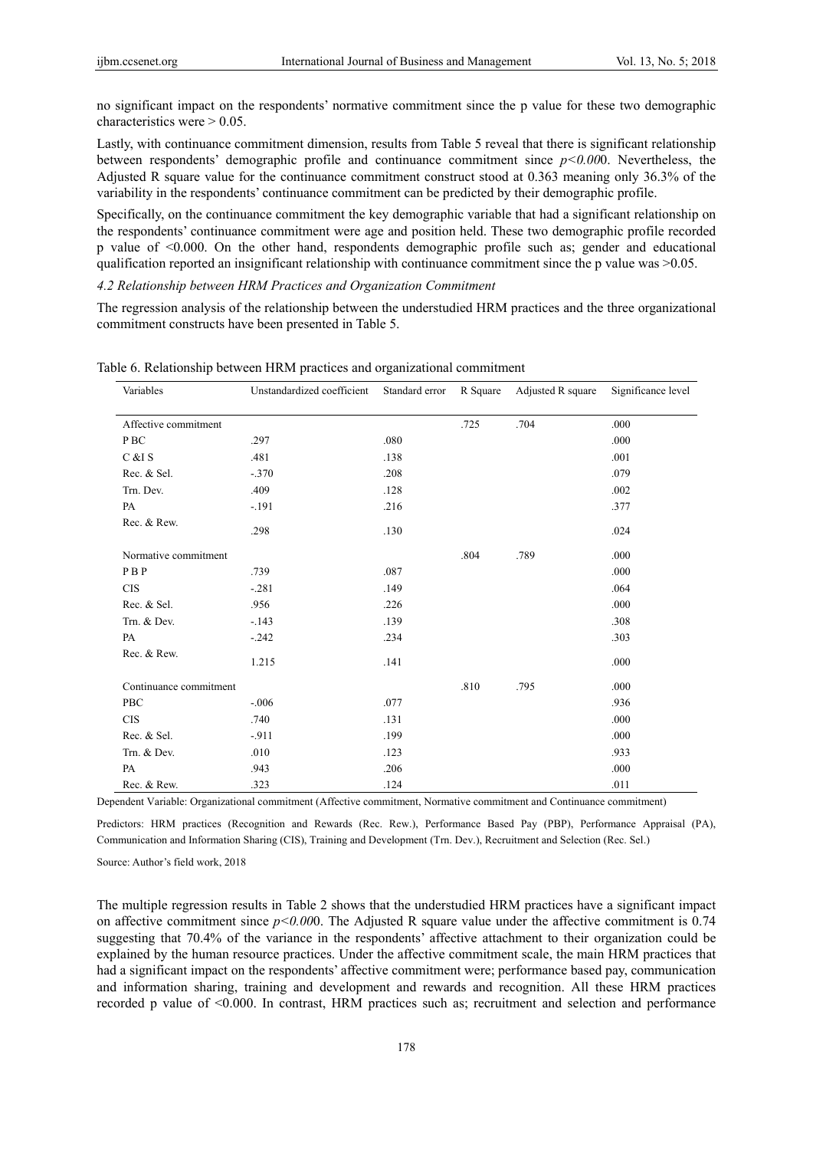no significant impact on the respondents' normative commitment since the p value for these two demographic characteristics were  $> 0.05$ .

Lastly, with continuance commitment dimension, results from Table 5 reveal that there is significant relationship between respondents' demographic profile and continuance commitment since *p<0.00*0. Nevertheless, the Adjusted R square value for the continuance commitment construct stood at 0.363 meaning only 36.3% of the variability in the respondents' continuance commitment can be predicted by their demographic profile.

Specifically, on the continuance commitment the key demographic variable that had a significant relationship on the respondents' continuance commitment were age and position held. These two demographic profile recorded p value of <0.000. On the other hand, respondents demographic profile such as; gender and educational qualification reported an insignificant relationship with continuance commitment since the p value was >0.05.

*4.2 Relationship between HRM Practices and Organization Commitment* 

The regression analysis of the relationship between the understudied HRM practices and the three organizational commitment constructs have been presented in Table 5.

| Variables              | Unstandardized coefficient | Standard error | R Square | Adjusted R square | Significance level |
|------------------------|----------------------------|----------------|----------|-------------------|--------------------|
| Affective commitment   |                            |                | .725     | .704              | .000               |
| P BC                   | .297                       | .080           |          |                   | .000               |
| C &I S                 | .481                       | .138           |          |                   | .001               |
| Rec. & Sel.            | $-.370$                    | .208           |          |                   | .079               |
| Trn. Dev.              | .409                       | .128           |          |                   | .002               |
| PA                     | $-.191$                    | .216           |          |                   | .377               |
| Rec. & Rew.            | .298                       | .130           |          |                   | .024               |
| Normative commitment   |                            |                | .804     | .789              | .000               |
| PBP                    | .739                       | .087           |          |                   | .000               |
| <b>CIS</b>             | $-.281$                    | .149           |          |                   | .064               |
| Rec. & Sel.            | .956                       | .226           |          |                   | .000               |
| Trn. & Dev.            | $-143$                     | .139           |          |                   | .308               |
| PA                     | $-.242$                    | .234           |          |                   | .303               |
| Rec. & Rew.            | 1.215                      | .141           |          |                   | .000               |
| Continuance commitment |                            |                | .810     | .795              | .000               |
| PBC                    | $-.006$                    | .077           |          |                   | .936               |
| <b>CIS</b>             | .740                       | .131           |          |                   | .000               |
| Rec. & Sel.            | $-911$                     | .199           |          |                   | .000               |
| Trn. & Dev.            | .010                       | .123           |          |                   | .933               |
| PA                     | .943                       | .206           |          |                   | .000               |
| Rec. & Rew.            | .323                       | .124           |          |                   | .011               |

Table 6. Relationship between HRM practices and organizational commitment

Dependent Variable: Organizational commitment (Affective commitment, Normative commitment and Continuance commitment)

Predictors: HRM practices (Recognition and Rewards (Rec. Rew.), Performance Based Pay (PBP), Performance Appraisal (PA), Communication and Information Sharing (CIS), Training and Development (Trn. Dev.), Recruitment and Selection (Rec. Sel.)

Source: Author's field work, 2018

The multiple regression results in Table 2 shows that the understudied HRM practices have a significant impact on affective commitment since *p<0.00*0. The Adjusted R square value under the affective commitment is 0.74 suggesting that 70.4% of the variance in the respondents' affective attachment to their organization could be explained by the human resource practices. Under the affective commitment scale, the main HRM practices that had a significant impact on the respondents' affective commitment were; performance based pay, communication and information sharing, training and development and rewards and recognition. All these HRM practices recorded p value of <0.000. In contrast, HRM practices such as; recruitment and selection and performance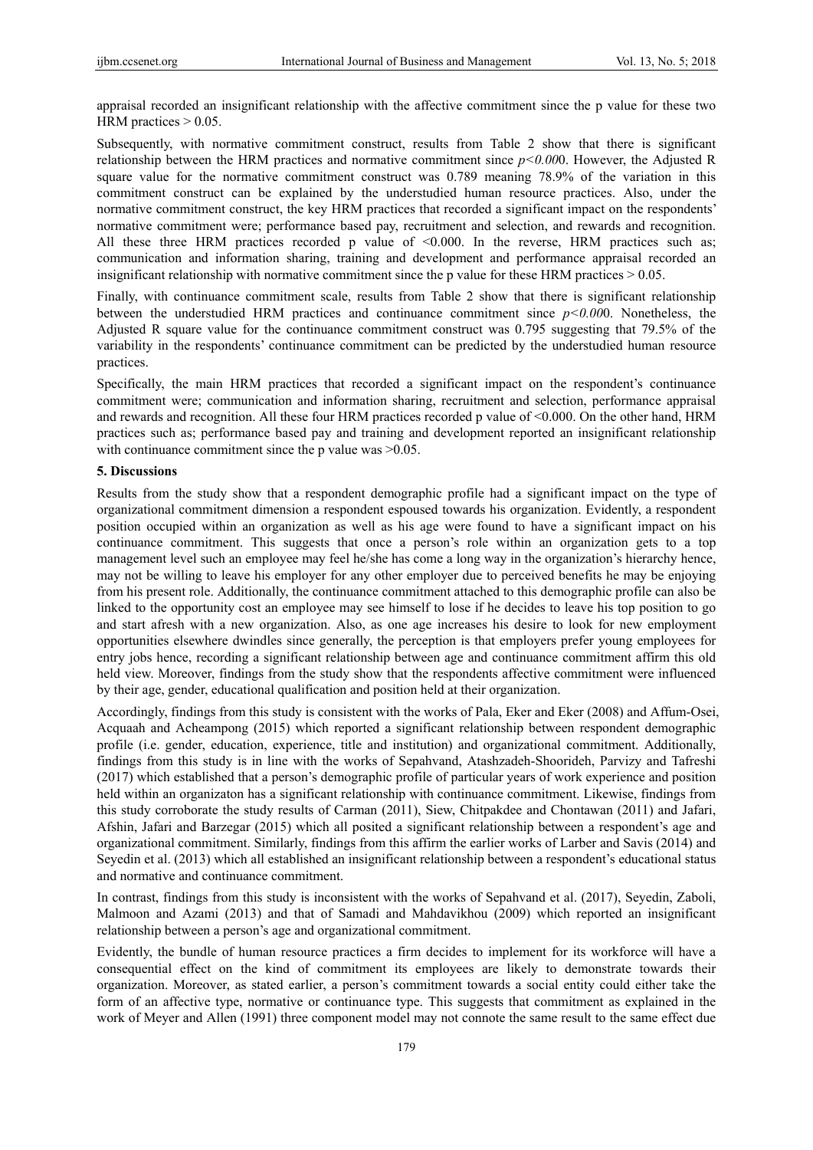appraisal recorded an insignificant relationship with the affective commitment since the p value for these two HRM practices  $> 0.05$ .

Subsequently, with normative commitment construct, results from Table 2 show that there is significant relationship between the HRM practices and normative commitment since *p<0.00*0. However, the Adjusted R square value for the normative commitment construct was 0.789 meaning 78.9% of the variation in this commitment construct can be explained by the understudied human resource practices. Also, under the normative commitment construct, the key HRM practices that recorded a significant impact on the respondents' normative commitment were; performance based pay, recruitment and selection, and rewards and recognition. All these three HRM practices recorded p value of  $< 0.000$ . In the reverse, HRM practices such as; communication and information sharing, training and development and performance appraisal recorded an insignificant relationship with normative commitment since the p value for these HRM practices > 0.05.

Finally, with continuance commitment scale, results from Table 2 show that there is significant relationship between the understudied HRM practices and continuance commitment since *p<0.00*0. Nonetheless, the Adjusted R square value for the continuance commitment construct was 0.795 suggesting that 79.5% of the variability in the respondents' continuance commitment can be predicted by the understudied human resource practices.

Specifically, the main HRM practices that recorded a significant impact on the respondent's continuance commitment were; communication and information sharing, recruitment and selection, performance appraisal and rewards and recognition. All these four HRM practices recorded p value of <0.000. On the other hand, HRM practices such as; performance based pay and training and development reported an insignificant relationship with continuance commitment since the p value was  $>0.05$ .

#### **5. Discussions**

Results from the study show that a respondent demographic profile had a significant impact on the type of organizational commitment dimension a respondent espoused towards his organization. Evidently, a respondent position occupied within an organization as well as his age were found to have a significant impact on his continuance commitment. This suggests that once a person's role within an organization gets to a top management level such an employee may feel he/she has come a long way in the organization's hierarchy hence, may not be willing to leave his employer for any other employer due to perceived benefits he may be enjoying from his present role. Additionally, the continuance commitment attached to this demographic profile can also be linked to the opportunity cost an employee may see himself to lose if he decides to leave his top position to go and start afresh with a new organization. Also, as one age increases his desire to look for new employment opportunities elsewhere dwindles since generally, the perception is that employers prefer young employees for entry jobs hence, recording a significant relationship between age and continuance commitment affirm this old held view. Moreover, findings from the study show that the respondents affective commitment were influenced by their age, gender, educational qualification and position held at their organization.

Accordingly, findings from this study is consistent with the works of Pala, Eker and Eker (2008) and Affum-Osei, Acquaah and Acheampong (2015) which reported a significant relationship between respondent demographic profile (i.e. gender, education, experience, title and institution) and organizational commitment. Additionally, findings from this study is in line with the works of Sepahvand, Atashzadeh-Shoorideh, Parvizy and Tafreshi (2017) which established that a person's demographic profile of particular years of work experience and position held within an organizaton has a significant relationship with continuance commitment. Likewise, findings from this study corroborate the study results of Carman (2011), Siew, Chitpakdee and Chontawan (2011) and Jafari, Afshin, Jafari and Barzegar (2015) which all posited a significant relationship between a respondent's age and organizational commitment. Similarly, findings from this affirm the earlier works of Larber and Savis (2014) and Seyedin et al. (2013) which all established an insignificant relationship between a respondent's educational status and normative and continuance commitment.

In contrast, findings from this study is inconsistent with the works of Sepahvand et al. (2017), Seyedin, Zaboli, Malmoon and Azami (2013) and that of Samadi and Mahdavikhou (2009) which reported an insignificant relationship between a person's age and organizational commitment.

Evidently, the bundle of human resource practices a firm decides to implement for its workforce will have a consequential effect on the kind of commitment its employees are likely to demonstrate towards their organization. Moreover, as stated earlier, a person's commitment towards a social entity could either take the form of an affective type, normative or continuance type. This suggests that commitment as explained in the work of Meyer and Allen (1991) three component model may not connote the same result to the same effect due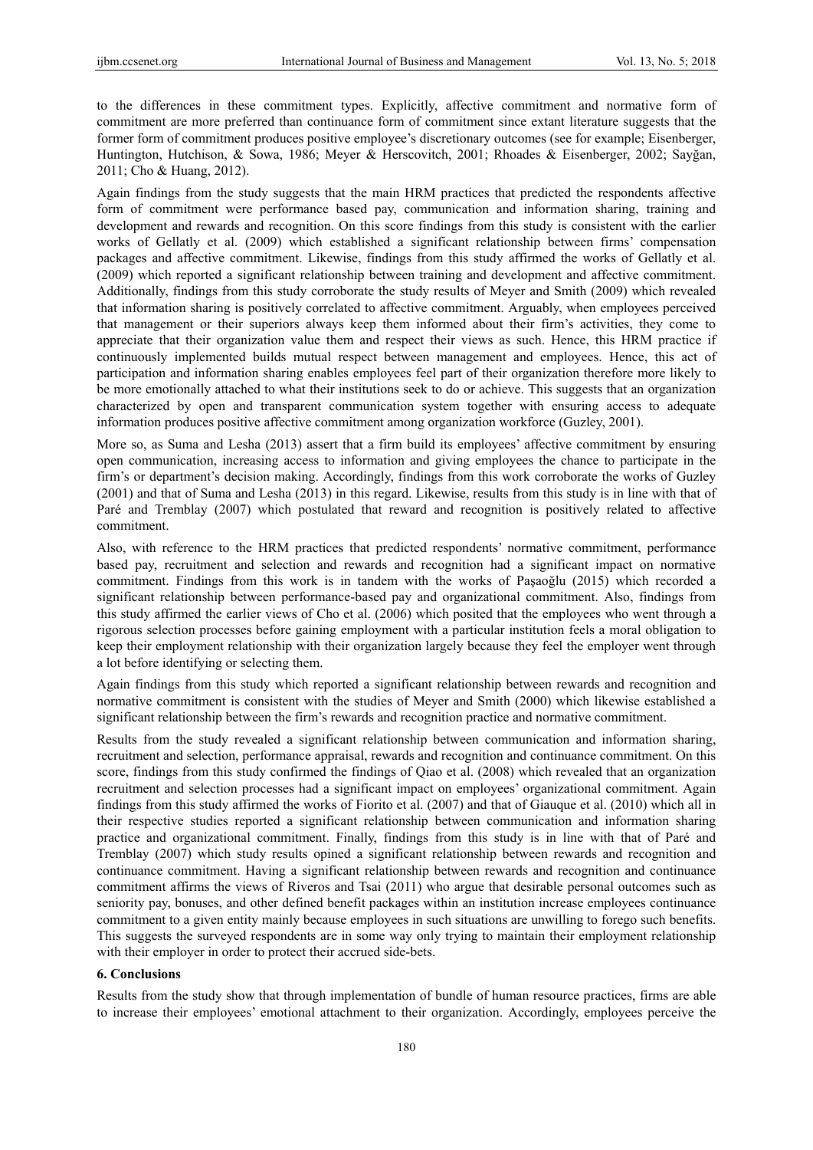to the differences in these commitment types. Explicitly, affective commitment and normative form of commitment are more preferred than continuance form of commitment since extant literature suggests that the former form of commitment produces positive employee's discretionary outcomes (see for example; Eisenberger, Huntington, Hutchison, & Sowa, 1986; Meyer & Herscovitch, 2001; Rhoades & Eisenberger, 2002; Sayğan, 2011; Cho & Huang, 2012).

Again findings from the study suggests that the main HRM practices that predicted the respondents affective form of commitment were performance based pay, communication and information sharing, training and development and rewards and recognition. On this score findings from this study is consistent with the earlier works of Gellatly et al. (2009) which established a significant relationship between firms' compensation packages and affective commitment. Likewise, findings from this study affirmed the works of Gellatly et al. (2009) which reported a significant relationship between training and development and affective commitment. Additionally, findings from this study corroborate the study results of Meyer and Smith (2009) which revealed that information sharing is positively correlated to affective commitment. Arguably, when employees perceived that management or their superiors always keep them informed about their firm's activities, they come to appreciate that their organization value them and respect their views as such. Hence, this HRM practice if continuously implemented builds mutual respect between management and employees. Hence, this act of participation and information sharing enables employees feel part of their organization therefore more likely to be more emotionally attached to what their institutions seek to do or achieve. This suggests that an organization characterized by open and transparent communication system together with ensuring access to adequate information produces positive affective commitment among organization workforce (Guzley, 2001).

More so, as Suma and Lesha (2013) assert that a firm build its employees' affective commitment by ensuring open communication, increasing access to information and giving employees the chance to participate in the firm's or department's decision making. Accordingly, findings from this work corroborate the works of Guzley (2001) and that of Suma and Lesha (2013) in this regard. Likewise, results from this study is in line with that of Paré and Tremblay (2007) which postulated that reward and recognition is positively related to affective commitment.

Also, with reference to the HRM practices that predicted respondents' normative commitment, performance based pay, recruitment and selection and rewards and recognition had a significant impact on normative commitment. Findings from this work is in tandem with the works of Paşaoğlu (2015) which recorded a significant relationship between performance-based pay and organizational commitment. Also, findings from this study affirmed the earlier views of Cho et al. (2006) which posited that the employees who went through a rigorous selection processes before gaining employment with a particular institution feels a moral obligation to keep their employment relationship with their organization largely because they feel the employer went through a lot before identifying or selecting them.

Again findings from this study which reported a significant relationship between rewards and recognition and normative commitment is consistent with the studies of Meyer and Smith (2000) which likewise established a significant relationship between the firm's rewards and recognition practice and normative commitment.

Results from the study revealed a significant relationship between communication and information sharing, recruitment and selection, performance appraisal, rewards and recognition and continuance commitment. On this score, findings from this study confirmed the findings of Qiao et al. (2008) which revealed that an organization recruitment and selection processes had a significant impact on employees' organizational commitment. Again findings from this study affirmed the works of Fiorito et al. (2007) and that of Giauque et al. (2010) which all in their respective studies reported a significant relationship between communication and information sharing practice and organizational commitment. Finally, findings from this study is in line with that of Paré and Tremblay (2007) which study results opined a significant relationship between rewards and recognition and continuance commitment. Having a significant relationship between rewards and recognition and continuance commitment affirms the views of Riveros and Tsai (2011) who argue that desirable personal outcomes such as seniority pay, bonuses, and other defined benefit packages within an institution increase employees continuance commitment to a given entity mainly because employees in such situations are unwilling to forego such benefits. This suggests the surveyed respondents are in some way only trying to maintain their employment relationship with their employer in order to protect their accrued side-bets.

#### **6. Conclusions**

Results from the study show that through implementation of bundle of human resource practices, firms are able to increase their employees' emotional attachment to their organization. Accordingly, employees perceive the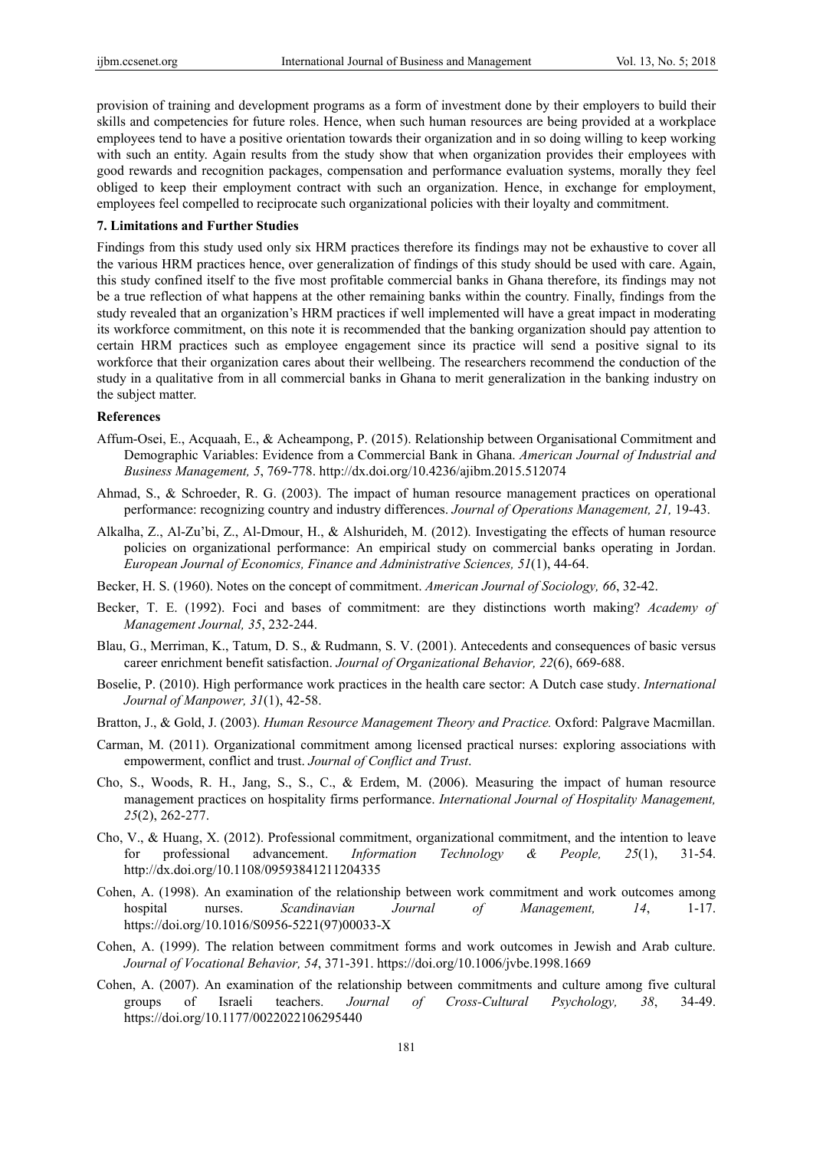provision of training and development programs as a form of investment done by their employers to build their skills and competencies for future roles. Hence, when such human resources are being provided at a workplace employees tend to have a positive orientation towards their organization and in so doing willing to keep working with such an entity. Again results from the study show that when organization provides their employees with good rewards and recognition packages, compensation and performance evaluation systems, morally they feel obliged to keep their employment contract with such an organization. Hence, in exchange for employment, employees feel compelled to reciprocate such organizational policies with their loyalty and commitment.

## **7. Limitations and Further Studies**

Findings from this study used only six HRM practices therefore its findings may not be exhaustive to cover all the various HRM practices hence, over generalization of findings of this study should be used with care. Again, this study confined itself to the five most profitable commercial banks in Ghana therefore, its findings may not be a true reflection of what happens at the other remaining banks within the country. Finally, findings from the study revealed that an organization's HRM practices if well implemented will have a great impact in moderating its workforce commitment, on this note it is recommended that the banking organization should pay attention to certain HRM practices such as employee engagement since its practice will send a positive signal to its workforce that their organization cares about their wellbeing. The researchers recommend the conduction of the study in a qualitative from in all commercial banks in Ghana to merit generalization in the banking industry on the subject matter.

#### **References**

- Affum-Osei, E., Acquaah, E., & Acheampong, P. (2015). Relationship between Organisational Commitment and Demographic Variables: Evidence from a Commercial Bank in Ghana. *American Journal of Industrial and Business Management, 5*, 769-778. http://dx.doi.org/10.4236/ajibm.2015.512074
- Ahmad, S., & Schroeder, R. G. (2003). The impact of human resource management practices on operational performance: recognizing country and industry differences. *Journal of Operations Management, 21,* 19-43.
- Alkalha, Z., Al-Zu'bi, Z., Al-Dmour, H., & Alshurideh, M. (2012). Investigating the effects of human resource policies on organizational performance: An empirical study on commercial banks operating in Jordan. *European Journal of Economics, Finance and Administrative Sciences, 51*(1), 44-64.
- Becker, H. S. (1960). Notes on the concept of commitment. *American Journal of Sociology, 66*, 32-42.
- Becker, T. E. (1992). Foci and bases of commitment: are they distinctions worth making? *Academy of Management Journal, 35*, 232-244.
- Blau, G., Merriman, K., Tatum, D. S., & Rudmann, S. V. (2001). Antecedents and consequences of basic versus career enrichment benefit satisfaction. *Journal of Organizational Behavior, 22*(6), 669-688.
- Boselie, P. (2010). High performance work practices in the health care sector: A Dutch case study. *International Journal of Manpower, 31*(1), 42-58.
- Bratton, J., & Gold, J. (2003). *Human Resource Management Theory and Practice.* Oxford: Palgrave Macmillan.
- Carman, M. (2011). Organizational commitment among licensed practical nurses: exploring associations with empowerment, conflict and trust. *Journal of Conflict and Trust*.
- Cho, S., Woods, R. H., Jang, S., S., C., & Erdem, M. (2006). Measuring the impact of human resource management practices on hospitality firms performance. *International Journal of Hospitality Management, 25*(2), 262-277.
- Cho, V., & Huang, X. (2012). Professional commitment, organizational commitment, and the intention to leave for professional advancement. *Information Technology & People, 25*(1), 31-54. http://dx.doi.org/10.1108/09593841211204335
- Cohen, A. (1998). An examination of the relationship between work commitment and work outcomes among hospital nurses. *Scandinavian Journal of Management, 14*, 1-17. https://doi.org/10.1016/S0956-5221(97)00033-X
- Cohen, A. (1999). The relation between commitment forms and work outcomes in Jewish and Arab culture. *Journal of Vocational Behavior, 54*, 371-391. https://doi.org/10.1006/jvbe.1998.1669
- Cohen, A. (2007). An examination of the relationship between commitments and culture among five cultural groups of Israeli teachers. *Journal of Cross-Cultural Psychology, 38*, 34-49. https://doi.org/10.1177/0022022106295440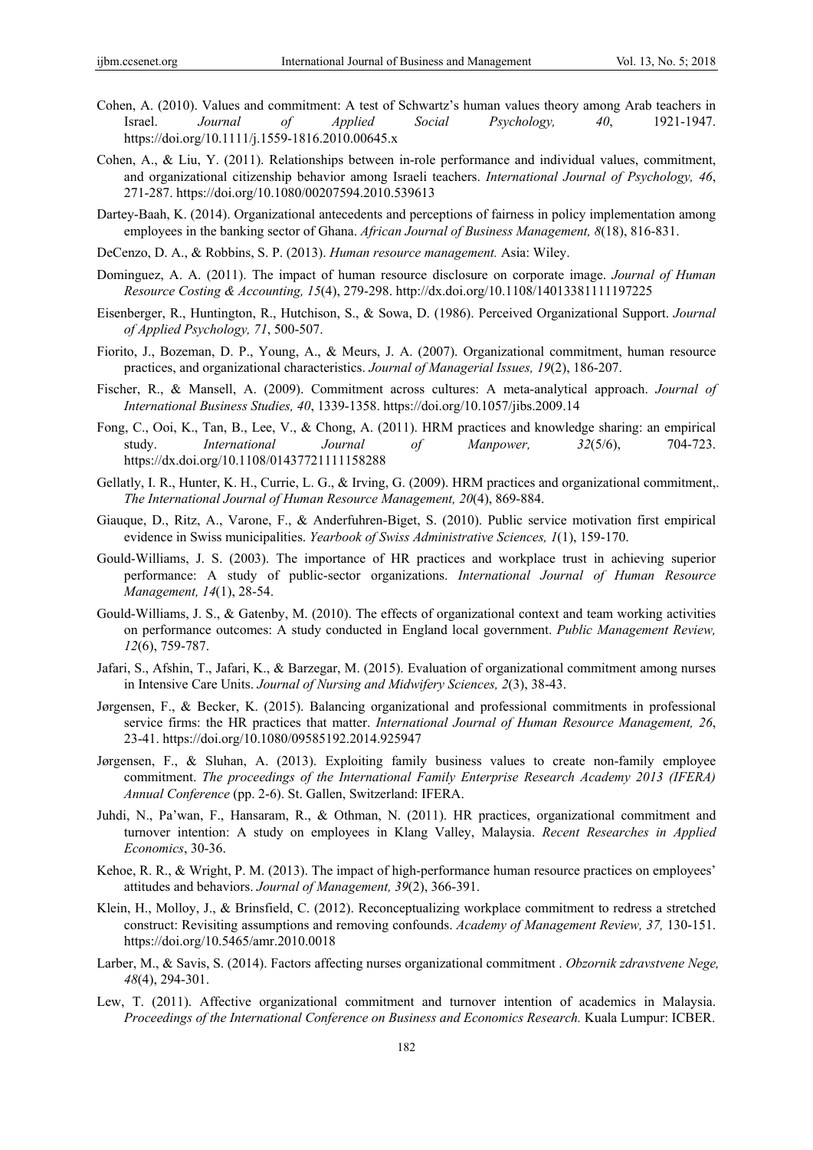- Cohen, A. (2010). Values and commitment: A test of Schwartz's human values theory among Arab teachers in Israel. *Journal of Applied Social Psychology, 40*, 1921-1947. https://doi.org/10.1111/j.1559-1816.2010.00645.x
- Cohen, A., & Liu, Y. (2011). Relationships between in-role performance and individual values, commitment, and organizational citizenship behavior among Israeli teachers. *International Journal of Psychology, 46*, 271-287. https://doi.org/10.1080/00207594.2010.539613
- Dartey-Baah, K. (2014). Organizational antecedents and perceptions of fairness in policy implementation among employees in the banking sector of Ghana. *African Journal of Business Management, 8*(18), 816-831.
- DeCenzo, D. A., & Robbins, S. P. (2013). *Human resource management.* Asia: Wiley.
- Dominguez, A. A. (2011). The impact of human resource disclosure on corporate image. *Journal of Human Resource Costing & Accounting, 15*(4), 279-298. http://dx.doi.org/10.1108/14013381111197225
- Eisenberger, R., Huntington, R., Hutchison, S., & Sowa, D. (1986). Perceived Organizational Support. *Journal of Applied Psychology, 71*, 500-507.
- Fiorito, J., Bozeman, D. P., Young, A., & Meurs, J. A. (2007). Organizational commitment, human resource practices, and organizational characteristics. *Journal of Managerial Issues, 19*(2), 186-207.
- Fischer, R., & Mansell, A. (2009). Commitment across cultures: A meta-analytical approach. *Journal of International Business Studies, 40*, 1339-1358. https://doi.org/10.1057/jibs.2009.14
- Fong, C., Ooi, K., Tan, B., Lee, V., & Chong, A. (2011). HRM practices and knowledge sharing: an empirical study. *International Journal of Manpower, 32*(5/6), 704-723. https://dx.doi.org/10.1108/01437721111158288
- Gellatly, I. R., Hunter, K. H., Currie, L. G., & Irving, G. (2009). HRM practices and organizational commitment,. *The International Journal of Human Resource Management, 20*(4), 869-884.
- Giauque, D., Ritz, A., Varone, F., & Anderfuhren-Biget, S. (2010). Public service motivation first empirical evidence in Swiss municipalities. *Yearbook of Swiss Administrative Sciences, 1*(1), 159-170.
- Gould-Williams, J. S. (2003). The importance of HR practices and workplace trust in achieving superior performance: A study of public-sector organizations. *International Journal of Human Resource Management, 14*(1), 28-54.
- Gould-Williams, J. S., & Gatenby, M. (2010). The effects of organizational context and team working activities on performance outcomes: A study conducted in England local government. *Public Management Review, 12*(6), 759-787.
- Jafari, S., Afshin, T., Jafari, K., & Barzegar, M. (2015). Evaluation of organizational commitment among nurses in Intensive Care Units. *Journal of Nursing and Midwifery Sciences, 2*(3), 38-43.
- Jørgensen, F., & Becker, K. (2015). Balancing organizational and professional commitments in professional service firms: the HR practices that matter. *International Journal of Human Resource Management, 26*, 23-41. https://doi.org/10.1080/09585192.2014.925947
- Jørgensen, F., & Sluhan, A. (2013). Exploiting family business values to create non-family employee commitment. *The proceedings of the International Family Enterprise Research Academy 2013 (IFERA) Annual Conference* (pp. 2-6). St. Gallen, Switzerland: IFERA.
- Juhdi, N., Pa'wan, F., Hansaram, R., & Othman, N. (2011). HR practices, organizational commitment and turnover intention: A study on employees in Klang Valley, Malaysia. *Recent Researches in Applied Economics*, 30-36.
- Kehoe, R. R., & Wright, P. M. (2013). The impact of high-performance human resource practices on employees' attitudes and behaviors. *Journal of Management, 39*(2), 366-391.
- Klein, H., Molloy, J., & Brinsfield, C. (2012). Reconceptualizing workplace commitment to redress a stretched construct: Revisiting assumptions and removing confounds. *Academy of Management Review, 37,* 130-151. https://doi.org/10.5465/amr.2010.0018
- Larber, M., & Savis, S. (2014). Factors affecting nurses organizational commitment . *Obzornik zdravstvene Nege, 48*(4), 294-301.
- Lew, T. (2011). Affective organizational commitment and turnover intention of academics in Malaysia. *Proceedings of the International Conference on Business and Economics Research.* Kuala Lumpur: ICBER.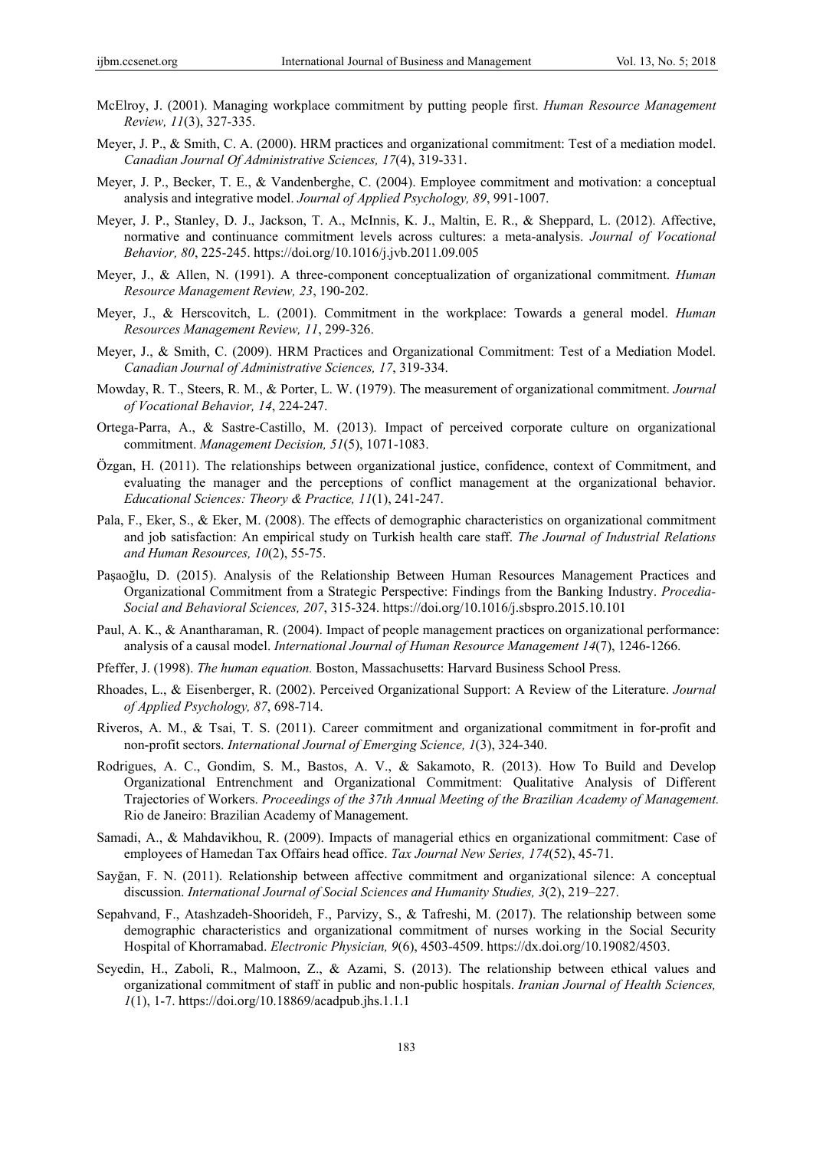- McElroy, J. (2001). Managing workplace commitment by putting people first. *Human Resource Management Review, 11*(3), 327-335.
- Meyer, J. P., & Smith, C. A. (2000). HRM practices and organizational commitment: Test of a mediation model. *Canadian Journal Of Administrative Sciences, 17*(4), 319-331.
- Meyer, J. P., Becker, T. E., & Vandenberghe, C. (2004). Employee commitment and motivation: a conceptual analysis and integrative model. *Journal of Applied Psychology, 89*, 991-1007.
- Meyer, J. P., Stanley, D. J., Jackson, T. A., McInnis, K. J., Maltin, E. R., & Sheppard, L. (2012). Affective, normative and continuance commitment levels across cultures: a meta-analysis. *Journal of Vocational Behavior, 80*, 225-245. https://doi.org/10.1016/j.jvb.2011.09.005
- Meyer, J., & Allen, N. (1991). A three-component conceptualization of organizational commitment. *Human Resource Management Review, 23*, 190-202.
- Meyer, J., & Herscovitch, L. (2001). Commitment in the workplace: Towards a general model. *Human Resources Management Review, 11*, 299-326.
- Meyer, J., & Smith, C. (2009). HRM Practices and Organizational Commitment: Test of a Mediation Model. *Canadian Journal of Administrative Sciences, 17*, 319-334.
- Mowday, R. T., Steers, R. M., & Porter, L. W. (1979). The measurement of organizational commitment. *Journal of Vocational Behavior, 14*, 224-247.
- Ortega-Parra, A., & Sastre-Castillo, M. (2013). Impact of perceived corporate culture on organizational commitment. *Management Decision, 51*(5), 1071-1083.
- Özgan, H. (2011). The relationships between organizational justice, confidence, context of Commitment, and evaluating the manager and the perceptions of conflict management at the organizational behavior. *Educational Sciences: Theory & Practice, 11*(1), 241-247.
- Pala, F., Eker, S., & Eker, M. (2008). The effects of demographic characteristics on organizational commitment and job satisfaction: An empirical study on Turkish health care staff. *The Journal of Industrial Relations and Human Resources, 10*(2), 55-75.
- Paşaoğlu, D. (2015). Analysis of the Relationship Between Human Resources Management Practices and Organizational Commitment from a Strategic Perspective: Findings from the Banking Industry. *Procedia-Social and Behavioral Sciences, 207*, 315-324. https://doi.org/10.1016/j.sbspro.2015.10.101
- Paul, A. K., & Anantharaman, R. (2004). Impact of people management practices on organizational performance: analysis of a causal model. *International Journal of Human Resource Management 14*(7), 1246-1266.
- Pfeffer, J. (1998). *The human equation.* Boston, Massachusetts: Harvard Business School Press.
- Rhoades, L., & Eisenberger, R. (2002). Perceived Organizational Support: A Review of the Literature. *Journal of Applied Psychology, 87*, 698-714.
- Riveros, A. M., & Tsai, T. S. (2011). Career commitment and organizational commitment in for-profit and non-profit sectors. *International Journal of Emerging Science, 1*(3), 324-340.
- Rodrigues, A. C., Gondim, S. M., Bastos, A. V., & Sakamoto, R. (2013). How To Build and Develop Organizational Entrenchment and Organizational Commitment: Qualitative Analysis of Different Trajectories of Workers. *Proceedings of the 37th Annual Meeting of the Brazilian Academy of Management.* Rio de Janeiro: Brazilian Academy of Management.
- Samadi, A., & Mahdavikhou, R. (2009). Impacts of managerial ethics en organizational commitment: Case of employees of Hamedan Tax Offairs head office. *Tax Journal New Series, 174*(52), 45-71.
- Sayğan, F. N. (2011). Relationship between affective commitment and organizational silence: A conceptual discussion. *International Journal of Social Sciences and Humanity Studies, 3*(2), 219–227.
- Sepahvand, F., Atashzadeh-Shoorideh, F., Parvizy, S., & Tafreshi, M. (2017). The relationship between some demographic characteristics and organizational commitment of nurses working in the Social Security Hospital of Khorramabad. *Electronic Physician, 9*(6), 4503-4509. https://dx.doi.org/10.19082/4503.
- Seyedin, H., Zaboli, R., Malmoon, Z., & Azami, S. (2013). The relationship between ethical values and organizational commitment of staff in public and non-public hospitals. *Iranian Journal of Health Sciences, 1*(1), 1-7. https://doi.org/10.18869/acadpub.jhs.1.1.1